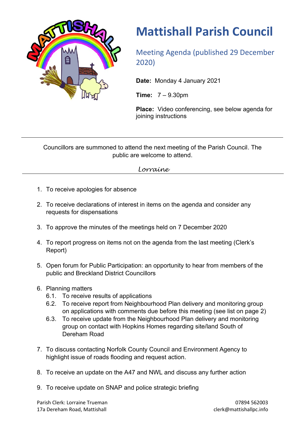

## **Mattishall Parish Council**

Meeting Agenda (published 29 December 2020)

**Date:** Monday 4 January 2021

**Time:** 7 – 9.30pm

**Place:** Video conferencing, see below agenda for joining instructions

Councillors are summoned to attend the next meeting of the Parish Council. The public are welcome to attend.

*Lorraine*

- 1. To receive apologies for absence
- 2. To receive declarations of interest in items on the agenda and consider any requests for dispensations
- 3. To approve the minutes of the meetings held on 7 December 2020
- 4. To report progress on items not on the agenda from the last meeting (Clerk's Report)
- 5. Open forum for Public Participation: an opportunity to hear from members of the public and Breckland District Councillors
- 6. Planning matters
	- 6.1. To receive results of applications
	- 6.2. To receive report from Neighbourhood Plan delivery and monitoring group on applications with comments due before this meeting (see list on page 2)
	- 6.3. To receive update from the Neighbourhood Plan delivery and monitoring group on contact with Hopkins Homes regarding site/land South of Dereham Road
- 7. To discuss contacting Norfolk County Council and Environment Agency to highlight issue of roads flooding and request action.
- 8. To receive an update on the A47 and NWL and discuss any further action
- 9. To receive update on SNAP and police strategic briefing